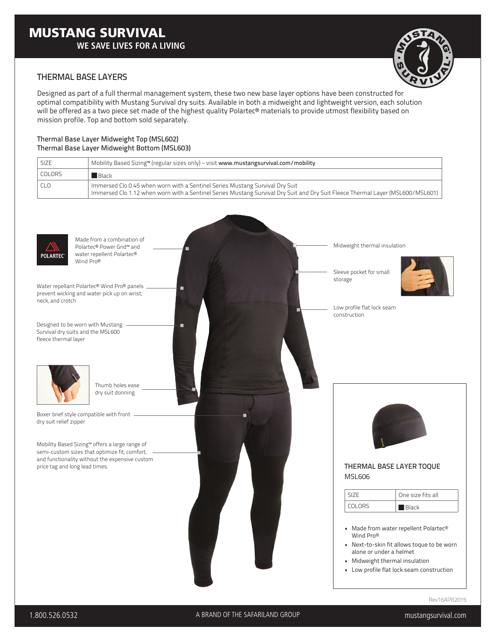

## THERMAL BASE LAYERS

Designed as part of a full thermal management system, these two new base layer options have been constructed for optimal compatibility with Mustang Survival dry suits. Available in both a midweight and lightweight version, each solution will be offered as a two piece set made of the highest quality Polartec® materials to provide utmost flexibility based on mission profile. Top and bottom sold separately.

#### Thermal Base Layer Midweight Top (MSL602) Thermal Base Layer Midweight Bottom (MSL603)

| <b>SIZE</b>   | Mobility Based Sizing <sup><math>M</math></sup> (regular sizes only) – visit www.mustangsurvival.com/mobility                                                                                                  |
|---------------|----------------------------------------------------------------------------------------------------------------------------------------------------------------------------------------------------------------|
| <b>COLORS</b> | Back                                                                                                                                                                                                           |
| CLO           | Immersed Clo 0.45 when worn with a Sentinel Series Mustang Survival Dry Suit<br>Immersed Clo 1.12 when worn with a Sentinel Series Mustang Survival Dry Suit and Dry Suit Fleece Thermal Layer (MSL600/MSL601) |